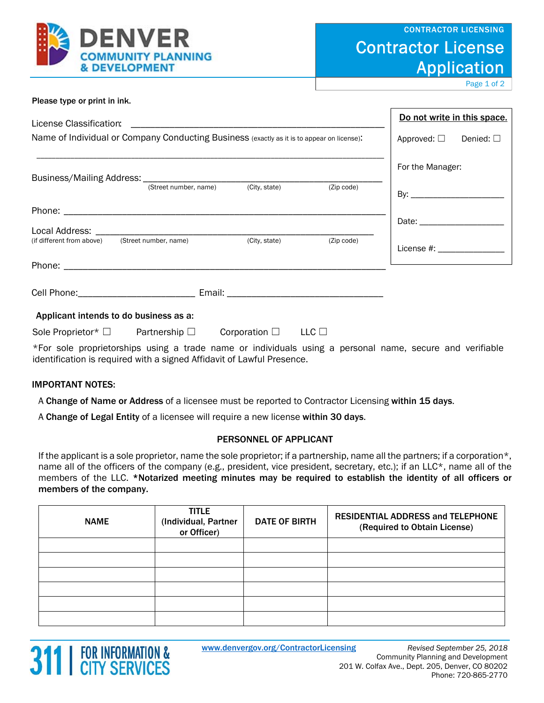

# Contractor License Application

Page 1 of 2

| Please type or print in ink.                                                                    |                                          |
|-------------------------------------------------------------------------------------------------|------------------------------------------|
| License Classification:                                                                         | Do not write in this space.              |
| Name of Individual or Company Conducting Business (exactly as it is to appear on license):      | Denied: $\square$<br>Approved: $\square$ |
|                                                                                                 | For the Manager:                         |
| Business/Mailing Address: <u>Catron In Umber, name City, state</u>                              | (Zip code)                               |
|                                                                                                 |                                          |
|                                                                                                 |                                          |
| (if different from above) (Street number, name)<br>(City, state)                                | (Zip code)<br>License #: New York 2014   |
|                                                                                                 |                                          |
|                                                                                                 |                                          |
| Applicant intends to do business as a:                                                          |                                          |
| $LLC$ $\square$<br>Sole Proprietor $*$ $\square$<br>Partnership $\square$<br>Corporation $\Box$ |                                          |

\*For sole proprietorships using a trade name or individuals using a personal name, secure and verifiable identification is required with a signed Affidavit of Lawful Presence.

### IMPORTANT NOTES:

A Change of Name or Address of a licensee must be reported to Contractor Licensing within 15 days.

A Change of Legal Entity of a licensee will require a new license within 30 days.

### PERSONNEL OF APPLICANT

If the applicant is a sole proprietor, name the sole proprietor; if a partnership, name all the partners; if a corporation\*, name all of the officers of the company (e.g., president, vice president, secretary, etc.); if an LLC\*, name all of the members of the LLC. \*Notarized meeting minutes may be required to establish the identity of all officers or members of the company.

| <b>NAME</b> | <b>TITLE</b><br>(Individual, Partner<br>or Officer) | <b>DATE OF BIRTH</b> | <b>RESIDENTIAL ADDRESS and TELEPHONE</b><br>(Required to Obtain License) |
|-------------|-----------------------------------------------------|----------------------|--------------------------------------------------------------------------|
|             |                                                     |                      |                                                                          |
|             |                                                     |                      |                                                                          |
|             |                                                     |                      |                                                                          |
|             |                                                     |                      |                                                                          |
|             |                                                     |                      |                                                                          |
|             |                                                     |                      |                                                                          |